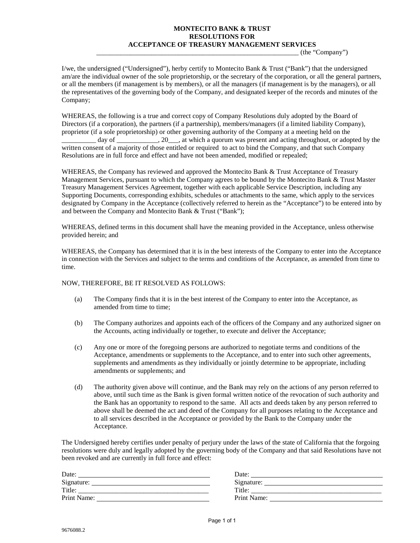## **MONTECITO BANK & TRUST RESOLUTIONS FOR ACCEPTANCE OF TREASURY MANAGEMENT SERVICES**

\_\_\_\_\_\_\_\_\_\_\_\_\_\_\_\_\_\_\_\_\_\_\_\_\_\_\_\_\_\_\_\_\_\_\_\_\_\_\_\_\_\_\_\_\_\_\_\_\_\_\_\_\_\_\_\_\_\_\_ (the "Company")

I/we, the undersigned ("Undersigned"), herby certify to Montecito Bank & Trust ("Bank") that the undersigned am/are the individual owner of the sole proprietorship, or the secretary of the corporation, or all the general partners, or all the members (if management is by members), or all the managers (if management is by the managers), or all the representatives of the governing body of the Company, and designated keeper of the records and minutes of the Company;

WHEREAS, the following is a true and correct copy of Company Resolutions duly adopted by the Board of Directors (if a corporation), the partners (if a partnership), members/managers (if a limited liability Company), proprietor (if a sole proprietorship) or other governing authority of the Company at a meeting held on the day of \_\_\_\_\_\_\_\_\_\_\_, 20\_\_\_, at which a quorum was present and acting throughout, or adopted by the written consent of a majority of those entitled or required to act to bind the Company, and that such Company Resolutions are in full force and effect and have not been amended, modified or repealed;

WHEREAS, the Company has reviewed and approved the Montecito Bank & Trust Acceptance of Treasury Management Services, pursuant to which the Company agrees to be bound by the Montecito Bank & Trust Master Treasury Management Services Agreement, together with each applicable Service Description, including any Supporting Documents, corresponding exhibits, schedules or attachments to the same, which apply to the services designated by Company in the Acceptance (collectively referred to herein as the "Acceptance") to be entered into by and between the Company and Montecito Bank & Trust ("Bank");

WHEREAS, defined terms in this document shall have the meaning provided in the Acceptance, unless otherwise provided herein; and

WHEREAS, the Company has determined that it is in the best interests of the Company to enter into the Acceptance in connection with the Services and subject to the terms and conditions of the Acceptance, as amended from time to time.

## NOW, THEREFORE, BE IT RESOLVED AS FOLLOWS:

- (a) The Company finds that it is in the best interest of the Company to enter into the Acceptance, as amended from time to time;
- (b) The Company authorizes and appoints each of the officers of the Company and any authorized signer on the Accounts, acting individually or together, to execute and deliver the Acceptance;
- (c) Any one or more of the foregoing persons are authorized to negotiate terms and conditions of the Acceptance, amendments or supplements to the Acceptance, and to enter into such other agreements, supplements and amendments as they individually or jointly determine to be appropriate, including amendments or supplements; and
- (d) The authority given above will continue, and the Bank may rely on the actions of any person referred to above, until such time as the Bank is given formal written notice of the revocation of such authority and the Bank has an opportunity to respond to the same. All acts and deeds taken by any person referred to above shall be deemed the act and deed of the Company for all purposes relating to the Acceptance and to all services described in the Acceptance or provided by the Bank to the Company under the Acceptance.

The Undersigned hereby certifies under penalty of perjury under the laws of the state of California that the forgoing resolutions were duly and legally adopted by the governing body of the Company and that said Resolutions have not been revoked and are currently in full force and effect:

| Date:       | Date:       |
|-------------|-------------|
| Signature:  | Signature:  |
| Title:      | Title:      |
| Print Name: | Print Name: |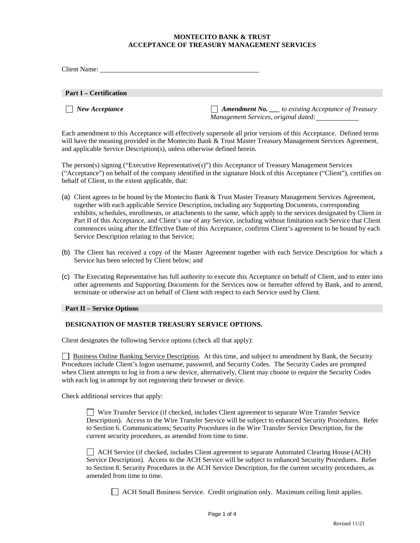## **MONTECITO BANK & TRUST ACCEPTANCE OF TREASURY MANAGEMENT SERVICES**

| Client Name:                  |                                                                                                               |
|-------------------------------|---------------------------------------------------------------------------------------------------------------|
| <b>Part I – Certification</b> |                                                                                                               |
| $\Box$ New Acceptance         | $\Box$ <b>Amendment No.</b> $\Box$ to existing Acceptance of Treasury<br>Management Services, original dated: |

Each amendment to this Acceptance will effectively supersede all prior versions of this Acceptance. Defined terms will have the meaning provided in the Montecito Bank & Trust Master Treasury Management Services Agreement, and applicable Service Description(s), unless otherwise defined herein.

The person(s) signing ("Executive Representative(s)") this Acceptance of Treasury Management Services ("Acceptance") on behalf of the company identified in the signature block of this Acceptance ("Client"), certifies on behalf of Client, to the extent applicable, that:

- (a) Client agrees to be bound by the Montecito Bank & Trust Master Treasury Management Services Agreement, together with each applicable Service Description, including any Supporting Documents, corresponding exhibits, schedules, enrollments, or attachments to the same, which apply to the services designated by Client in Part II of this Acceptance, and Client's use of any Service, including without limitation each Service that Client commences using after the Effective Date of this Acceptance, confirms Client's agreement to be bound by each Service Description relating to that Service;
- (b) The Client has received a copy of the Master Agreement together with each Service Description for which a Service has been selected by Client below; and
- (c) The Executing Representative has full authority to execute this Acceptance on behalf of Client, and to enter into other agreements and Supporting Documents for the Services now or hereafter offered by Bank, and to amend, terminate or otherwise act on behalf of Client with respect to each Service used by Client.

## **Part II – Service Options**

## **DESIGNATION OF MASTER TREASURY SERVICE OPTIONS.**

Client designates the following Service options (check all that apply):

 Business Online Banking Service Description. At this time, and subject to amendment by Bank, the Security Procedures include Client's logon username, password, and Security Codes. The Security Codes are prompted when Client attempts to log in from a new device, alternatively, Client may choose to require the Security Codes with each log in attempt by not registering their browser or device.

Check additional services that apply:

 Wire Transfer Service (if checked, includes Client agreement to separate Wire Transfer Service Description). Access to the Wire Transfer Service will be subject to enhanced Security Procedures. Refer to Section 6. Communications; Security Procedures in the Wire Transfer Service Description, for the current security procedures, as amended from time to time.

 ACH Service (if checked, includes Client agreement to separate Automated Clearing House (ACH) Service Description). Access to the ACH Service will be subject to enhanced Security Procedures. Refer to Section 8. Security Procedures in the ACH Service Description, for the current security procedures, as amended from time to time.

ACH Small Business Service. Credit origination only. Maximum ceiling limit applies.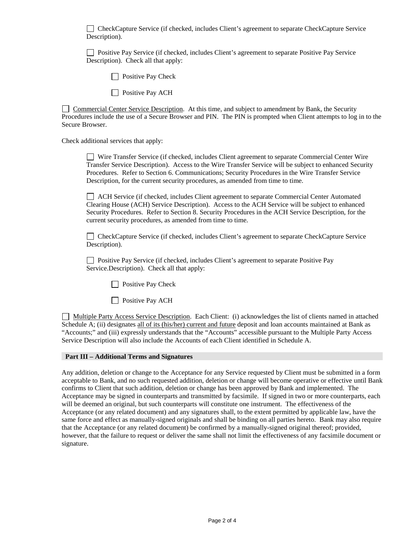CheckCapture Service (if checked, includes Client's agreement to separate CheckCapture Service Description).

 Positive Pay Service (if checked, includes Client's agreement to separate Positive Pay Service Description). Check all that apply:

 $\Box$  Positive Pay Check

**Positive Pay ACH** 

Commercial Center Service Description. At this time, and subject to amendment by Bank, the Security Procedures include the use of a Secure Browser and PIN. The PIN is prompted when Client attempts to log in to the Secure Browser.

Check additional services that apply:

 Wire Transfer Service (if checked, includes Client agreement to separate Commercial Center Wire Transfer Service Description). Access to the Wire Transfer Service will be subject to enhanced Security Procedures. Refer to Section 6. Communications; Security Procedures in the Wire Transfer Service Description, for the current security procedures, as amended from time to time.

 ACH Service (if checked, includes Client agreement to separate Commercial Center Automated Clearing House (ACH) Service Description). Access to the ACH Service will be subject to enhanced Security Procedures. Refer to Section 8. Security Procedures in the ACH Service Description, for the current security procedures, as amended from time to time.

 CheckCapture Service (if checked, includes Client's agreement to separate CheckCapture Service Description).

□ Positive Pay Service (if checked, includes Client's agreement to separate Positive Pay Service.Description). Check all that apply:

 $\Box$  Positive Pay Check

**Positive Pay ACH** 

 Multiple Party Access Service Description. Each Client: (i) acknowledges the list of clients named in attached Schedule A; (ii) designates all of its (his/her) current and future deposit and loan accounts maintained at Bank as "Accounts;" and (iii) expressly understands that the "Accounts" accessible pursuant to the Multiple Party Access Service Description will also include the Accounts of each Client identified in Schedule A.

### **Part III – Additional Terms and Signatures**

Any addition, deletion or change to the Acceptance for any Service requested by Client must be submitted in a form acceptable to Bank, and no such requested addition, deletion or change will become operative or effective until Bank confirms to Client that such addition, deletion or change has been approved by Bank and implemented. The Acceptance may be signed in counterparts and transmitted by facsimile. If signed in two or more counterparts, each will be deemed an original, but such counterparts will constitute one instrument. The effectiveness of the Acceptance (or any related document) and any signatures shall, to the extent permitted by applicable law, have the same force and effect as manually-signed originals and shall be binding on all parties hereto. Bank may also require that the Acceptance (or any related document) be confirmed by a manually-signed original thereof; provided, however, that the failure to request or deliver the same shall not limit the effectiveness of any facsimile document or signature.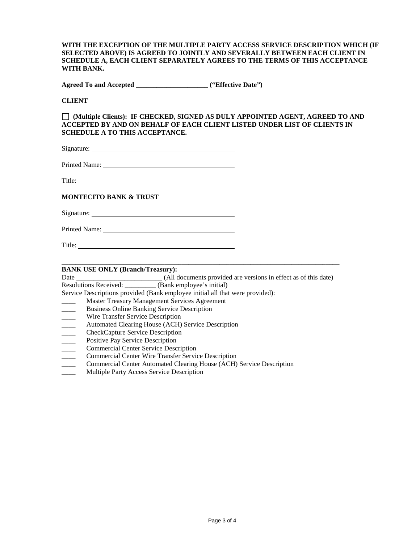**WITH THE EXCEPTION OF THE MULTIPLE PARTY ACCESS SERVICE DESCRIPTION WHICH (IF SELECTED ABOVE) IS AGREED TO JOINTLY AND SEVERALLY BETWEEN EACH CLIENT IN SCHEDULE A, EACH CLIENT SEPARATELY AGREES TO THE TERMS OF THIS ACCEPTANCE WITH BANK.**

**Agreed To and Accepted \_\_\_\_\_\_\_\_\_\_\_\_\_\_\_\_\_\_\_\_\_ ("Effective Date")**

**CLIENT**

 **(Multiple Clients): IF CHECKED, SIGNED AS DULY APPOINTED AGENT, AGREED TO AND ACCEPTED BY AND ON BEHALF OF EACH CLIENT LISTED UNDER LIST OF CLIENTS IN SCHEDULE A TO THIS ACCEPTANCE.** 

Signature:

Printed Name:

Title:

### **MONTECITO BANK & TRUST**

Signature:

Printed Name: Name: Name: Name: Name: Name: Name: Name: Name: Name: Name: Name: Name: Name: Name: Name: Name: Name: Name: Name: Name: Name: Name: Name: Name: Name: Name: Name: Name: Name: Name: Name: Name: Name: Name: Name

Title: The contract of the contract of the contract of the contract of the contract of the contract of the contract of the contract of the contract of the contract of the contract of the contract of the contract of the con

#### **\_\_\_\_\_\_\_\_\_\_\_\_\_\_\_\_\_\_\_\_\_\_\_\_\_\_\_\_\_\_\_\_\_\_\_\_\_\_\_\_\_\_\_\_\_\_\_\_\_\_\_\_\_\_\_\_\_\_\_\_\_\_\_\_\_\_\_\_\_\_\_\_\_\_\_\_\_\_\_\_\_ BANK USE ONLY (Branch/Treasury):**

| Date                     | (All documents provided are versions in effect as of this date)               |
|--------------------------|-------------------------------------------------------------------------------|
|                          | Resolutions Received: (Bank employee's initial)                               |
|                          | Service Descriptions provided (Bank employee initial all that were provided): |
|                          | Master Treasury Management Services Agreement                                 |
|                          | <b>Business Online Banking Service Description</b>                            |
| $\overline{\phantom{a}}$ | Wire Transfer Service Description                                             |
|                          | Automated Clearing House (ACH) Service Description                            |
|                          | <b>CheckCapture Service Description</b>                                       |
|                          | Positive Pay Service Description                                              |
|                          | <b>Commercial Center Service Description</b>                                  |
|                          | <b>Commercial Center Wire Transfer Service Description</b>                    |
|                          | <b>Commercial Center Automated Clearing House (ACH) Service Description</b>   |

\_\_\_\_ Multiple Party Access Service Description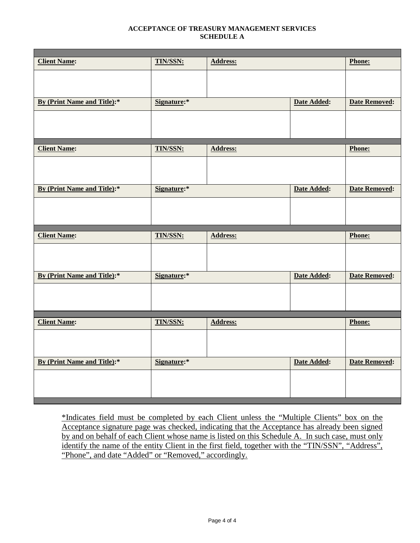### **ACCEPTANCE OF TREASURY MANAGEMENT SERVICES SCHEDULE A**

| <b>Client Name:</b>         | <b>TIN/SSN:</b> | <b>Address:</b> |             | Phone:               |
|-----------------------------|-----------------|-----------------|-------------|----------------------|
|                             |                 |                 |             |                      |
|                             |                 |                 |             |                      |
| By (Print Name and Title):* | Signature:*     |                 | Date Added: | <b>Date Removed:</b> |
|                             |                 |                 |             |                      |
|                             |                 |                 |             |                      |
|                             |                 |                 |             |                      |
| <b>Client Name:</b>         | <b>TIN/SSN:</b> | <b>Address:</b> |             | Phone:               |
|                             |                 |                 |             |                      |
|                             |                 |                 |             |                      |
| By (Print Name and Title):* | Signature:*     |                 | Date Added: | <b>Date Removed:</b> |
|                             |                 |                 |             |                      |
|                             |                 |                 |             |                      |
|                             |                 |                 |             |                      |
|                             |                 |                 |             |                      |
|                             |                 |                 |             |                      |
| <b>Client Name:</b>         | <b>TIN/SSN:</b> | <b>Address:</b> |             | Phone:               |
|                             |                 |                 |             |                      |
|                             |                 |                 |             |                      |
| By (Print Name and Title):* | Signature:*     |                 | Date Added: | <b>Date Removed:</b> |
|                             |                 |                 |             |                      |
|                             |                 |                 |             |                      |
|                             |                 |                 |             |                      |
| <b>Client Name:</b>         | <b>TIN/SSN:</b> | <b>Address:</b> |             | Phone:               |
|                             |                 |                 |             |                      |
|                             |                 |                 |             |                      |
|                             |                 |                 |             |                      |
| By (Print Name and Title):* | Signature:*     |                 | Date Added: | <b>Date Removed:</b> |
|                             |                 |                 |             |                      |
|                             |                 |                 |             |                      |

\*Indicates field must be completed by each Client unless the "Multiple Clients" box on the Acceptance signature page was checked, indicating that the Acceptance has already been signed by and on behalf of each Client whose name is listed on this Schedule A. In such case, must only identify the name of the entity Client in the first field, together with the "TIN/SSN", "Address", "Phone", and date "Added" or "Removed," accordingly.